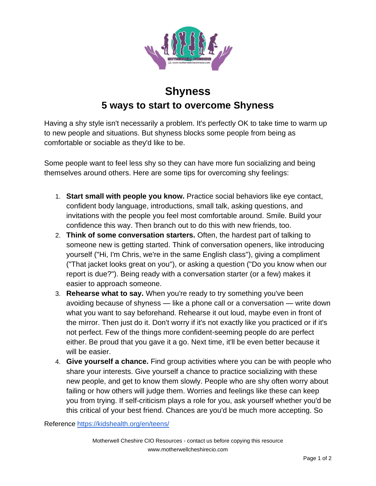

## **Shyness 5 ways to start to overcome Shyness**

Having a shy style isn't necessarily a problem. It's perfectly OK to take time to warm up to new people and situations. But shyness blocks some people from being as comfortable or sociable as they'd like to be.

Some people want to feel less shy so they can have more fun socializing and being themselves around others. Here are some tips for overcoming shy feelings:

- 1. **Start small with people you know.** Practice social behaviors like eye contact, confident body language, introductions, small talk, asking questions, and invitations with the people you feel most comfortable around. Smile. Build your confidence this way. Then branch out to do this with new friends, too.
- 2. **Think of some conversation starters.** Often, the hardest part of talking to someone new is getting started. Think of conversation openers, like introducing yourself ("Hi, I'm Chris, we're in the same English class"), giving a compliment ("That jacket looks great on you"), or asking a question ("Do you know when our report is due?"). Being ready with a conversation starter (or a few) makes it easier to approach someone.
- 3. **Rehearse what to say.** When you're ready to try something you've been avoiding because of shyness — like a phone call or a conversation — write down what you want to say beforehand. Rehearse it out loud, maybe even in front of the mirror. Then just do it. Don't worry if it's not exactly like you practiced or if it's not perfect. Few of the things more confident-seeming people do are perfect either. Be proud that you gave it a go. Next time, it'll be even better because it will be easier.
- 4. **Give yourself a chance.** Find group activities where you can be with people who share your interests. Give yourself a chance to practice socializing with these new people, and get to know them slowly. People who are shy often worry about failing or how others will judge them. Worries and feelings like these can keep you from trying. If self-criticism plays a role for you, ask yourself whether you'd be this critical of your best friend. Chances are you'd be much more accepting. So

Reference<https://kidshealth.org/en/teens/>